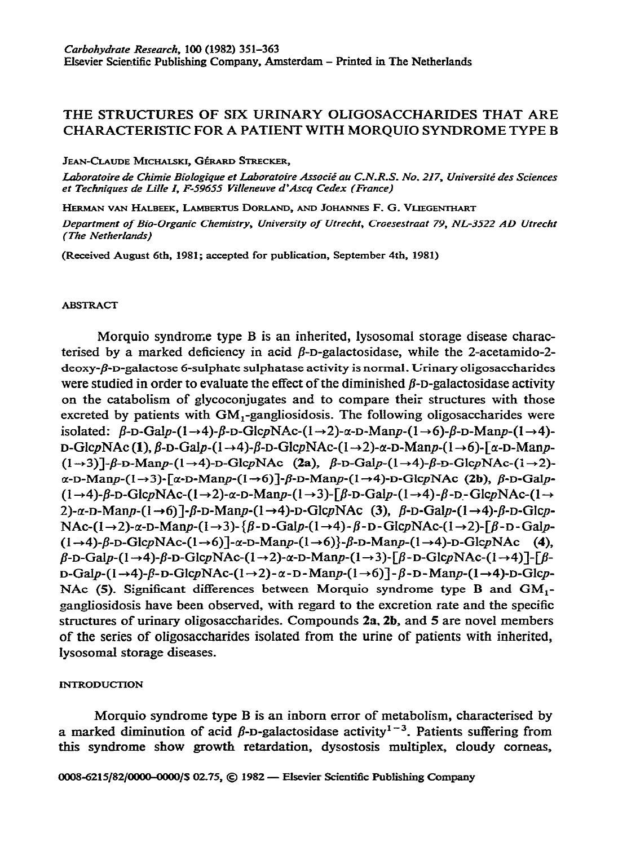# THE STRUCTURES OF SIX URINARY OLIGOSACCHARIDES THAT ARE CHARACTERISTIC FOR A PATIENT WITH MORQUIO SYNDROME TYPE B

JEAN-CLAUDE MICHALSKI, GÉRARD STRECKER,

Laboratoire de Chimie Biologique et Laboratoire Associé au C.N.R.S. No. 217, Université des Sciences *et Techniques de LiIIe I, F-59455 Villeneuve d'Axq Cedex (France)* 

*HERMAN VAN* **HALBEEK, LAMERNS DORLAND, AND JOHANNES F. G. VLIEGENTHART** 

*Department of Bio-Organic Chemistry, University of Utrecht, Croesestraat 79, NL-3.522 AD Utrecht (The Netherlands)* 

**(Received August 6th, 1981; accepted for publication, September 4th, 1981)** 

#### ABSTRACT

Morquio syndrome type B is an inherited, iysosomai storage disease characterised by a marked deficiency in acid  $\beta$ -D-galactosidase, while the 2-acetamido-2deoxy-j?-D-galactose 6-sulphate sulphatase **activity is normal. Urinary oligosaccharides**  were studied in order to evaluate the effect of the diminished  $\beta$ -D-galactosidase activity **on the catabolism of giycoconjugates and to compare their structures with those excreted by patients with GM,-gangliosidosis. The following oiigosaccharides were**  isolated:  $\beta$ -D-Galp-(1-+4)- $\beta$ -D-GlcpNAc-(1-+2)- $\alpha$ -D-Manp-(1-+6)- $\beta$ -D-Manp-(1-+4)- $D-GlcpNAc$  (1),  $\beta$ -D-Galp-(1  $\rightarrow$  4)- $\beta$ -D-GlcpNAc-(1  $\rightarrow$  2)- $\alpha$ -D-Manp-(1  $\rightarrow$  6)- $\lceil \alpha$ -D-Manp- $(1\rightarrow 3)$ ]- $\beta$ -D-Manp- $(1\rightarrow 4)$ -D-GlcpNAc  $(2a)$ ,  $\beta$ -D-Galp- $(1\rightarrow 4)$ - $\beta$ -D-GlcpNAc- $(1\rightarrow 2)$ - $\alpha$ -D-Manp-(1  $\rightarrow$ 3)- $\alpha$ -D-Manp-(1  $\rightarrow$  6) $\alpha$ -D-Manp-(1  $\rightarrow$  4)-D-GlcpNAc (2b),  $\beta$ -D-Galp- $(1 \rightarrow 4)$ - $\beta$ -D-GicpNAc- $(1 \rightarrow 2)$ - $\alpha$ -D-Manp- $(1 \rightarrow 3)$ - $\beta$ -D-Galp- $(1 \rightarrow 4)$ - $\beta$ -D-GicpNAc- $(1 \rightarrow 4)$ 2)-*α*-D-Manp-(1→6)]-β-D-Manp-(1→4)-D-GlcpNAc (3), β-D-Galp-(1→4)-β-D-Glcp- $NAc-(1\rightarrow 2)-\alpha$ -D-Man $p-(1\rightarrow 3)-\beta$ -D-Gal $p-(1\rightarrow 4)-\beta$ -D-Glc $pNAc-(1\rightarrow 2)-\beta$ -D-Gal $p (1\rightarrow4)$ - $\beta$ -D-GicpNAc- $(1\rightarrow6)$ ]- $\alpha$ -D-Manp- $(1\rightarrow6)$ }- $\beta$ -D-Manp- $(1\rightarrow4)$ -D-GicpNAc (4),  $\beta$ -D-Galp-(I-+4)- $\beta$ -D-GlcpNAc-(I-+2)- $\alpha$ -D-Manp-(I-+3)-[ $\beta$ -D-GlcpNAc-(I-+4)]-[ $\beta$ - $D-\text{Gal}_P\left(1\rightarrow 4\right)-\beta -D-\text{G}lcpNAc-(1\rightarrow 2)-\alpha -D-\text{Map-}(1\rightarrow 6)$ ]- $\beta -D-\text{Man}_P\left(1\rightarrow 4\right)-D-\text{G}lcp-$ NAc (5). Significant differences between Morquio syndrome type B and  $GM_1$ gangliosidosis have been observed, with regard to the excretion rate and the specific structures of urinary oligosaccharides. Compounds  $2a$ ,  $2b$ , and  $5$  are novel members of the series of **oiigosaccharides isolated from the urine of patients with inherited, iysosomal storage diseases.** 

## **INTRODUCTION**

**Morquio syndrome type B is an inborn error of metabolism, characterised by**  a marked diminution of acid  $\beta$ -D-galactosidase activity<sup>1-3</sup>. Patients suffering from **this syndrome show growth retardation, dysostosis multiplex, cloudy corneas,**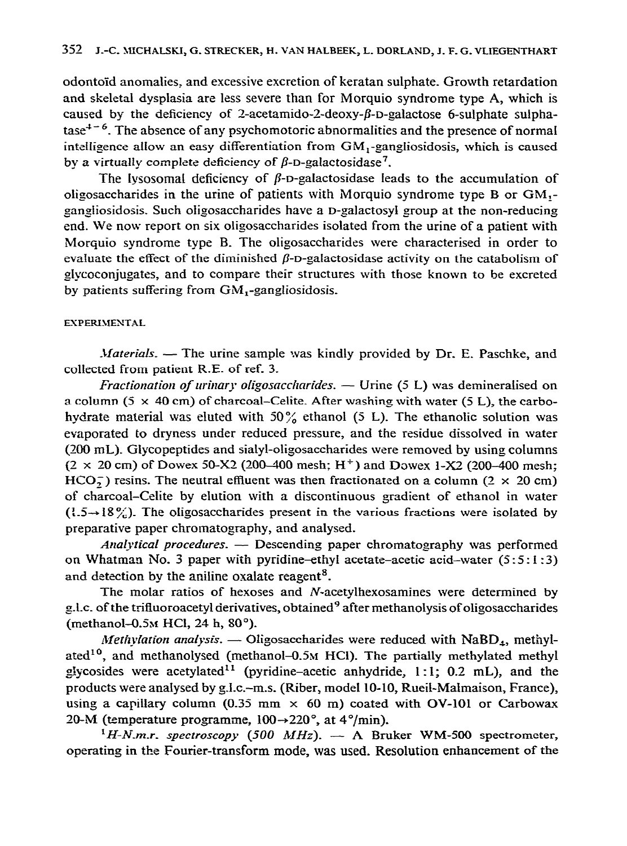odontoiid anomalies, and excessive excretion of keratan sulphate. Growth retardation and skeletal dysplasia are less severe than for Morquio syndrome type A, which is caused by the deficiency of 2-acetamido-2-deoxy- $\beta$ -D-galactose 6-sulphate sulpha $tase<sup>4-6</sup>$ . The absence of any psychomotoric abnormalities and the presence of normal intelligence allow an easy differentiation from  $GM_1$ -gangliosidosis, which is caused by a virtually complete deficiency of  $\beta$ -D-galactosidase<sup>7</sup>.

The lysosomal deficiency of  $\beta$ -D-galactosidase leads to the accumulation of oligosaccharides in the urine of patients with IMorquio syndrome type B or GM, gangliosidosis. Such oligosaccharides have a D-galactosyl group at the non-reducing end. We now report on six oligosaccharides isolated from the urine of a patient with Morquio syndrome type B. The oligosaccharides were characterised in order to evaluate the effect of the diminished  $\beta$ -D-galactosidase activity on the catabolism of glycoconjugates, and to compare their structures with those known to be excreted by patients suffering from  $GM_1$ -gangliosidosis.

## **EXPERIMENTAL**

*Materials.* — The urine sample was kindly provided by Dr. E. Paschke, and collected from patient R.E. of ref. 3.

*Fractionation of urinary oligosaccharides.* - Urine (5 L) was demineralised on a column  $(5 \times 40 \text{ cm})$  of charcoal–Celite. After washing with water  $(5 \text{ L})$ , the carbohydrate material was eluted with  $50\%$  ethanol (5 L). The ethanolic solution was evaporated to dryness under reduced pressure, and the residue dissolved in water (200 mL). GIycopeptides and sialyl-oligosaccharides were removed by using columns  $(2 \times 20 \text{ cm})$  of Dowex 50-X2 (200-400 mesh; H<sup>+</sup>) and Dowex 1-X2 (200-400 mesh; HCO<sub>7</sub>) resins. The neutral effluent was then fractionated on a column ( $2 \times 20$  cm) of charcoal-Celite by elution with a discontinuous gradient of ethanol in water  $(1.5 \rightarrow 18\%)$ . The oligosaccharides present in the various fractions were isolated by preparative paper chromatography, and analysed.

*Analytical procedwes. -* Descending paper chromatography was performed on Whatman No. 3 paper with pyridine-ethyl acetate-acetic acid-water  $(5:5:1:3)$ and detection by the aniline oxalate reagent<sup>8</sup>.

The molar ratios of hexoses and N-acetylhexosamines were determined by g.l.c. of the trifluoroacetyl derivatives, obtained<sup>9</sup> after methanolysis of oligosaccharides (methanol- $0.5M$  HCl, 24 h, 80 $^{\circ}$ ).

*Methylation analysis.* - Oligosaccharides were reduced with NaBD<sub>4</sub>, methylated<sup>10</sup>, and methanolysed (methanol-0.5M HCI). The partially methylated methyl glycosides were acetylated" (pyridine-acetic anhydride, 1: 1; 0.2 mL), and the products were analysed by g-I-c.-m-s. (Riber, model 10-10, Rueil-Malmaison, France), using a capillary column (0.35 mm  $\times$  60 m) coated with OV-101 or Carbowax 20-M (temperature programme,  $100 \rightarrow 220^{\circ}$ , at  $4^{\circ}/\text{min}$ ).

 $^{1}H$ -N.m.r. spectroscopy (500 MHz).  $-$  A Bruker WM-500 spectrometer, operating in the Fourier-transform mode, was used. Resolution enhancement of the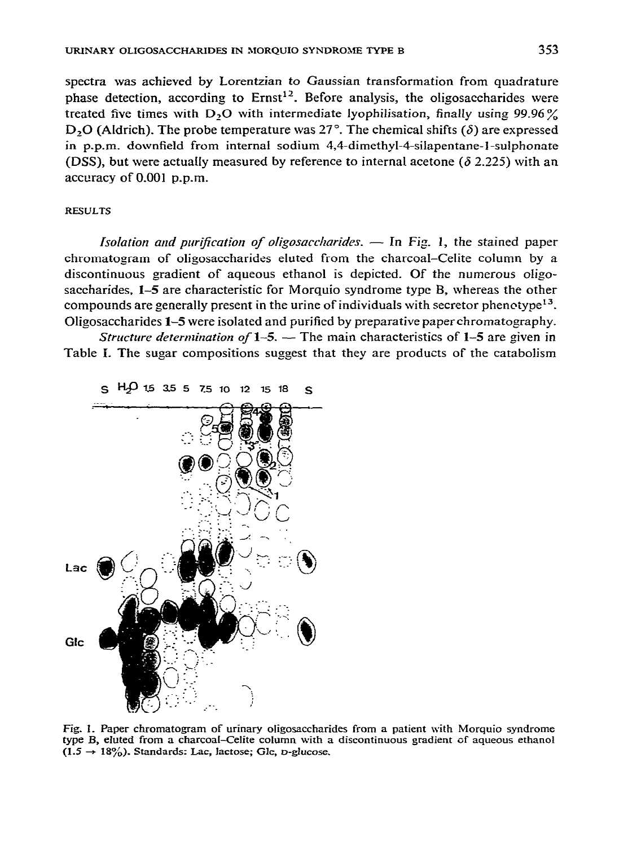spectra was achieved by Lorentzian *to* Gaussian transformation from quadrature phase detection, according to  $Ernst<sup>12</sup>$ . Before analysis, the oligosaccharides were treated five times with D<sub>2</sub>O with intermediate lyophilisation, *finally using 99.96%*  $D_2O$  (Aldrich). The probe temperature was 27°. The chemical shifts ( $\delta$ ) are expressed in p-p-m\_ downfield from internal sodium 4,4-dimethyl-4-silapentane-I-sulphonate (DSS), but were actually measured by reference to internal acetone ( $\delta$  2.225) with an accuracy of 0.001 p.p.m.

#### **RESULTS**

*Isolation and purification of oligosaccharides.* - In Fig. 1, the stained paper chromatogram of oligosaccharides eluted from the charcoal-Celite column by a discontinuous gradient of aqueous ethanol is depicted. Of the numerous oligosaccharides, 1-5 are characteristic for Morquio syndrome type B, whereas the other compounds are generally present in the urine of individuals with secretor phenotype<sup>13</sup>. Oligosaccharides 1–5 were isolated and purified by preparative paper chromatography.

*Structure determination of 1-5.* - The main characteristics of 1-5 are given in Table I. The sugar compositions suggest that they are products of the catabolism



Fig. 1. Paper chromatogram of urinary oligosaccharides **from a patient with Morquio syndrome type B, eluted from a charcoaI-CeJite column with a discontinuous gradient of aqueous ethanol**   $(1.5 \rightarrow 18\%)$ . Standards: Lac, lactose; Glc, *p*-glucose.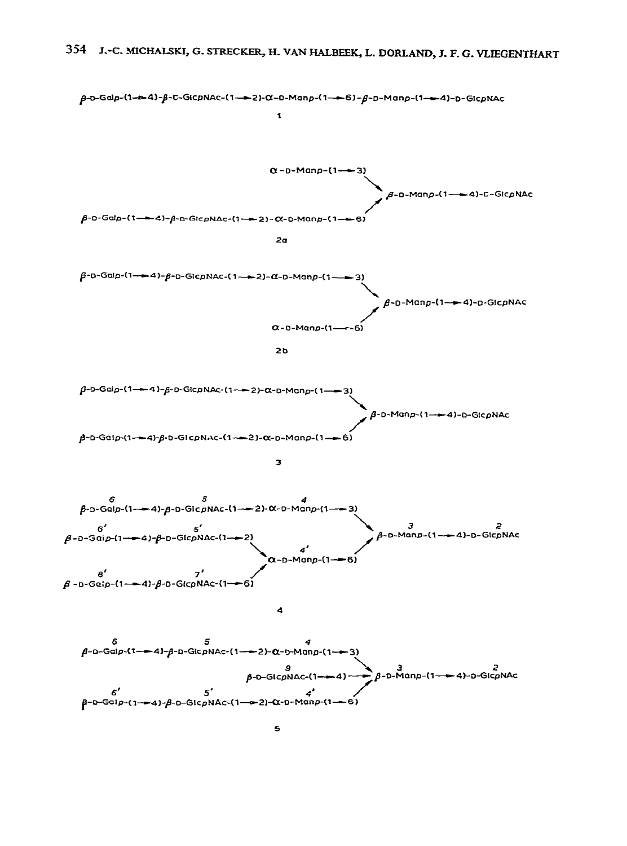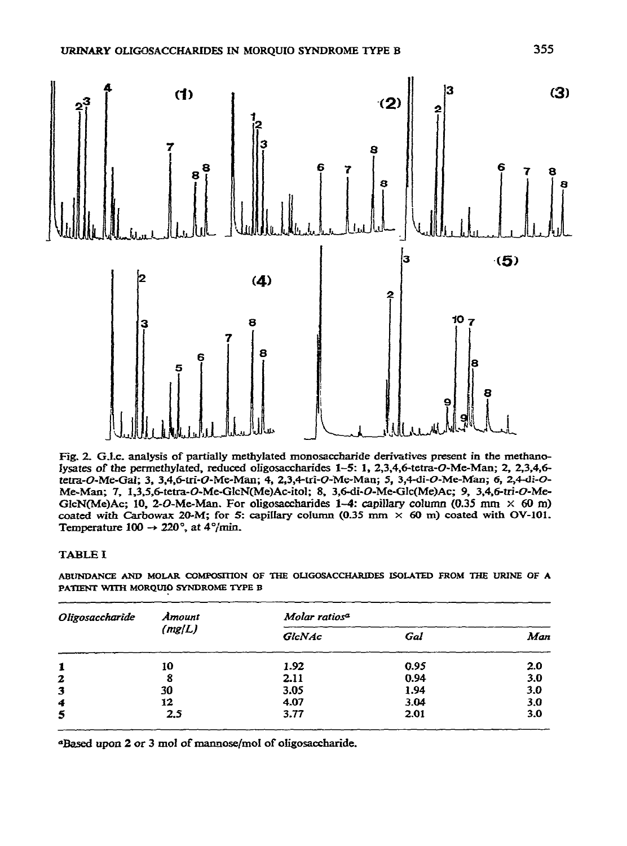

Fig. 2. G.I.c. analysis of partially methylated monosaccharide derivatives present in the methanolysates of the permethylated, reduced oligosaccharides 1-5: 1, 2,3,4,6-tetra-O-Me-Man; 2, 2,3,4,6tetra-O-Me-Gal; 3, 3,4,6-tri-O-Me-Man; 4, 2,3,4-tri-O-Me-Man; 5, 3,4-di-O-Me-Man; 6, 2,4-di-O-Me-Man; 7, 1,3,5,6-tetra-O-Me-GlcN(Me)Ac-itol; 8, 3,6-di-O-Me-Glc(Me)Ac; 9, 3,4,6-tri-O-Me-GlcN(Me)Ac; 10, 2-O-Me-Man. For oligosaccharides 1-4: capillary column (0.35 mm  $\times$  60 m) coated with Carbowax 20-M; for 5: capillary column (0.35 mm  $\times$  60 m) coated with OV-101. Temperature 100  $\rightarrow$  220°, at 4°/min.

## **TABLE I**

ABUNDANCE AND MOLAR COMPOSITION OF THE OLIGOSACCHARIDES ISOLATED FROM THE URINE OF A PATIENT WITH MORQUIO SYNDROME TYPE B

| Oligosaccharide | Amount<br>(mg/L) | Molar ratios <sup>a</sup> |      |     |  |  |
|-----------------|------------------|---------------------------|------|-----|--|--|
|                 |                  | GlcNAc                    | Gal  | Man |  |  |
| 1               | 10               | 1.92                      | 0.95 | 2.0 |  |  |
| $\mathbf{z}$    | 8                | 2.11                      | 0.94 | 3.0 |  |  |
| 3               | 30               | 3.05                      | 1.94 | 3.0 |  |  |
| 4               | 12               | 4.07                      | 3.04 | 3.0 |  |  |
| 5               | 2.5              | 3.77                      | 2.01 | 3.0 |  |  |

<sup>a</sup>Based upon 2 or 3 mol of mannose/mol of oligosaccharide.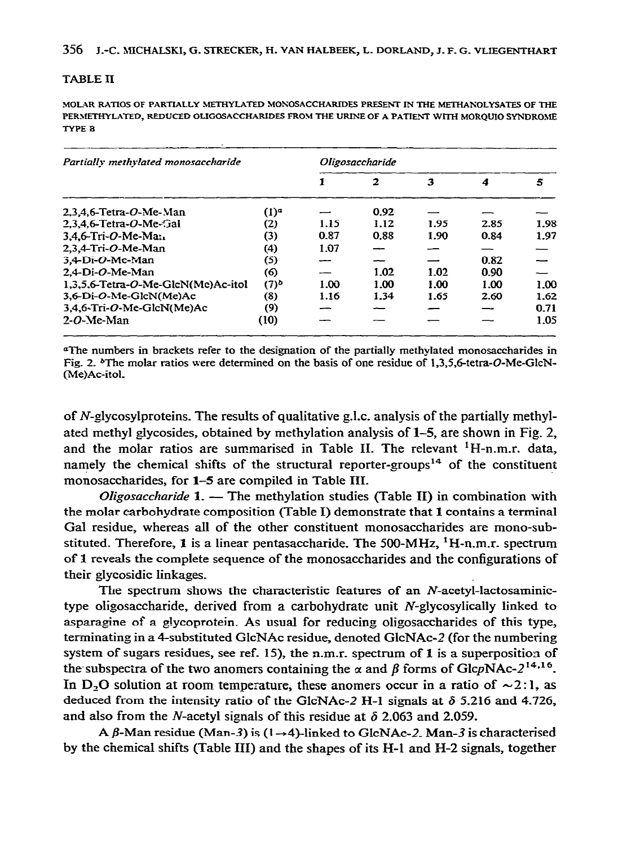#### **TABLE II**

MOLAR RATIOS OF PARTIALLY METHYLATED MONOSACCHARIDES PRESENT IN THE METHANOLYSATES OF THE PERMETHYLATED, REDUCED OLIGOSACCHARIDES FROM THE URINE OF A PATIENT WITH MORQUIO SYNDROME TYPE 3

| Partially methylated monosaccharide | Oligosaccharide |      |      |      |      |      |
|-------------------------------------|-----------------|------|------|------|------|------|
|                                     |                 |      | 2    | з    | 4    | 5    |
| $2.3.4.6$ -Tetra- $O$ -Me-Man       | $(1)^a$         |      | 0.92 |      |      |      |
| $2.3.4.6$ -Tetra-O-Me-Gal           | (2)             | 1.15 | 1.12 | 1.95 | 2.85 | 1.98 |
| $3.4.6$ -Tri-O-Me-Ma $\cdot$        | (3)             | 0.87 | 0.88 | 1.90 | 0.84 | 1.97 |
| 2.3.4-Tri-O-Me-Man                  | (4)             | 1.07 |      |      |      |      |
| $3,4$ -Di-O-Mc-Man                  | (5)             |      |      |      | 0.82 |      |
| $2.4-Di-O-Me-Man$                   | (6)             | ---  | 1.02 | 1.02 | 0.90 |      |
| 1.3.5.6-Tetra-O-Me-GlcN(Me)Ac-itol  | $(7)^{b}$       | 1.00 | 1.00 | 1.00 | 1.00 | 1.00 |
| 3,6-Di-O-Me-GlcN(Me)Ac              | (8)             | 1.16 | 1.34 | 1.65 | 2.60 | 1.62 |
| 3,4,6-Tri-O-Me-GlcN(Me)Ac           | (9)             | ---  |      |      |      | 0.71 |
| $2-O-Me-Man$                        | (10)            |      |      |      |      | 1.05 |

<sup>a</sup>The numbers in brackets refer to the designation of the partially methylated monosaccharides in Fig. 2. <sup>b</sup>The molar ratios were determined on the basis of one residue of 1.3.5.6-tetra-O-Me-GlcN-(Me)Ac-itol.

of N-glycosylproteins. The results of qualitative g.l.c. analysis of the partially methylated methyl glycosides, obtained by methylation analysis of 1–5, are shown in Fig. 2. and the molar ratios are summarised in Table II. The relevant <sup>1</sup>H-n.m.r. data, namely the chemical shifts of the structural reporter-groups<sup>14</sup> of the constituent monosaccharides, for 1-5 are compiled in Table III.

Oligosaccharide 1. - The methylation studies (Table II) in combination with the molar carbohydrate composition (Table I) demonstrate that 1 contains a terminal Gal residue, whereas all of the other constituent monosaccharides are mono-substituted. Therefore, 1 is a linear pentasaccharide. The 500-MHz, <sup>1</sup>H-n.m.r. spectrum of 1 reveals the complete sequence of the monosaccharides and the configurations of their glycosidic linkages.

The spectrum shows the characteristic features of an N-acetyl-lactosaminictype oligosaccharide, derived from a carbohydrate unit N-glycosylically linked to asparagine of a glycoprotein. As usual for reducing oligosaccharides of this type, terminating in a 4-substituted GlcNAc residue, denoted GlcNAc-2 (for the numbering system of sugars residues, see ref. 15), the n.m.r. spectrum of 1 is a superposition of the subspectra of the two anomers containing the  $\alpha$  and  $\beta$  forms of GlcpNAc-2<sup>14,16</sup>. In D<sub>2</sub>O solution at room temperature, these anomers occur in a ratio of  $\sim$ 2:1, as deduced from the intensity ratio of the GlcNAc-2 H-1 signals at  $\delta$  5.216 and 4.726, and also from the *N*-acetyl signals of this residue at  $\delta$  2.063 and 2.059.

A  $\beta$ -Man residue (Man-3) is (1  $\rightarrow$ 4)-linked to GlcNAc-2. Man-3 is characterised by the chemical shifts (Table III) and the shapes of its H-1 and H-2 signals, together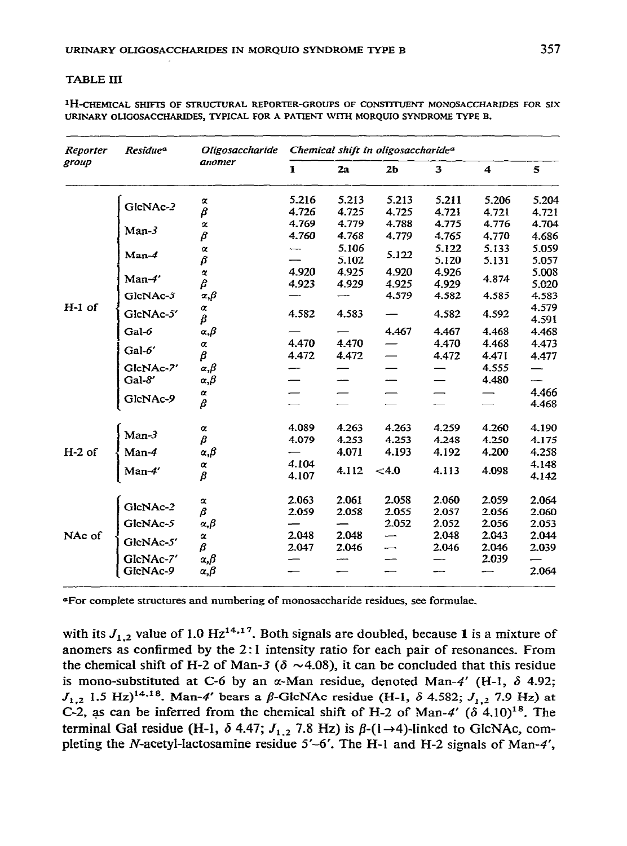#### **TABLE III**

<sup>1</sup>H-CHEMICAL SHIFTS OF STRUCTURAL REPORTER-GROUPS OF CONSTITUENT MONOSACCHARIDES FOR SIX URINARY OLIGOSACCHARIDES, TYPICAL FOR A PATIENT WITH MORQUIO SYNDROME TYPE B.

| Reporter<br>group | Residue <sup>a</sup> | Oligosaccharide<br>anomer            | Chemical shift in oligosaccharide <sup>a</sup> |                |                          |                |                |                |
|-------------------|----------------------|--------------------------------------|------------------------------------------------|----------------|--------------------------|----------------|----------------|----------------|
|                   |                      |                                      | 1                                              | 2a             | 2 <sub>b</sub>           | 3              | 4              | 5              |
| $H-1$ of          | GlcNAc-2             | $\pmb{\alpha}$                       | 5.216                                          | 5.213          | 5.213                    | 5.211          | 5.206          | 5.204          |
|                   |                      | β                                    | 4.726                                          | 4.725          | 4.725                    | 4.721          | 4.721          | 4.721          |
|                   | $Man-3$              | $\pmb{\alpha}$                       | 4.769                                          | 4.779          | 4.788                    | 4.775          | 4.776          | 4.704          |
|                   |                      | β                                    | 4.760                                          | 4.768          | 4.779                    | 4.765          | 4.770          | 4.686          |
|                   | $Man-4$              | $\pmb{\alpha}$<br>β                  |                                                | 5.106<br>5.102 | 5.122                    | 5.122<br>5.120 | 5.133<br>5.131 | 5.059<br>5.057 |
|                   | Man-4'               | $\pmb{\alpha}$<br>β                  | 4.920<br>4.923                                 | 4.925<br>4.929 | 4.920<br>4.925           | 4.926<br>4.929 | 4.874          | 5.008<br>5.020 |
|                   | GlcNAc-5             | $_{\alpha,\beta}$                    |                                                |                | 4.579                    | 4.582          | 4.585          | 4.583          |
|                   | GlcNAc-5'            | α<br>β                               | 4.582                                          | 4.583          |                          | 4.582          | 4.592          | 4.579<br>4.591 |
|                   | Gal-6                | $\alpha, \beta$                      |                                                |                | 4.467                    | 4.467          | 4.468          | 4.468          |
|                   | Gal-6'               | $\alpha$<br>β                        | 4.470<br>4.472                                 | 4.470<br>4.472 | —                        | 4.470<br>4.472 | 4.468<br>4.471 | 4.473<br>4.477 |
|                   | GlcNAc-7'<br>Gal-8'  | $_{\alpha,\beta}$<br>$\alpha, \beta$ |                                                |                |                          |                | 4.555<br>4.480 | —–             |
|                   | GlcNAc-9             | $\pmb{\alpha}$<br>β                  |                                                |                |                          |                |                | 4.466<br>4.468 |
| $H-2$ of          | $Man-3$              | $\pmb{\alpha}$                       | 4.089                                          | 4.263          | 4.263                    | 4.259          | 4.260          | 4.190          |
|                   |                      | β                                    | 4.079                                          | 4.253          | 4.253                    | 4.248          | 4.250          | 4.175          |
|                   | $Man-4$              | $\alpha, \beta$<br>$\alpha$          | 4.104                                          | 4.071          | 4.193                    | 4.192          | 4.200          | 4.258<br>4.148 |
|                   | $Man-4'$             | $\beta$                              | 4.107                                          | 4.112          | < 4.0                    | 4.113          | 4.098          | 4.142          |
| NAc of            | GlcNAc-2             | $\pmb{\alpha}$                       | 2.063                                          | 2.061          | 2.058                    | 2.060          | 2.059          | 2.064          |
|                   |                      | β                                    | 2.059                                          | 2.058          | 2.055                    | 2.057          | 2.056          | 2.060          |
|                   | GleNAc-5             | α, $β$                               |                                                |                | 2.052                    | 2.052          | 2.056          | 2.053          |
|                   | GleNAc-5'            | $\pmb{\alpha}$                       | 2.048                                          | 2.048          |                          | 2.048          | 2.043          | 2.044          |
|                   | GlcNAc-7'            | β                                    | 2.047                                          | 2.046          | $\overline{\phantom{0}}$ | 2.046          | 2.046<br>2.039 | 2.039          |
|                   | GlcNAc-9             | $\alpha, \beta$<br>$\alpha, \beta$   |                                                |                |                          |                |                | 2.064          |

"For complete structures and numbering of monosaccharide residues, see formulae,

with its  $J_{1,2}$  value of 1.0 Hz<sup>14,17</sup>. Both signals are doubled, because 1 is a mixture of anomers as confirmed by the 2:1 intensity ratio for each pair of resonances. From the chemical shift of H-2 of Man-3 ( $\delta \sim 4.08$ ), it can be concluded that this residue is mono-substituted at C-6 by an  $\alpha$ -Man residue, denoted Man-4' (H-1,  $\delta$  4.92;  $J_{1,2}$  1.5 Hz)<sup>14,18</sup>. Man-4' bears a  $\beta$ -GlcNAc residue (H-1,  $\delta$  4.582;  $J_{1,2}$  7.9 Hz) at C-2, as can be inferred from the chemical shift of H-2 of Man-4'  $(\delta 4.10)^{18}$ . The terminal Gal residue (H-1,  $\delta$  4.47;  $J_{1,2}$  7.8 Hz) is  $\beta$ -(1 $\rightarrow$ 4)-linked to GlcNAc, completing the N-acetyl-lactosamine residue 5'-6'. The H-1 and H-2 signals of Man-4',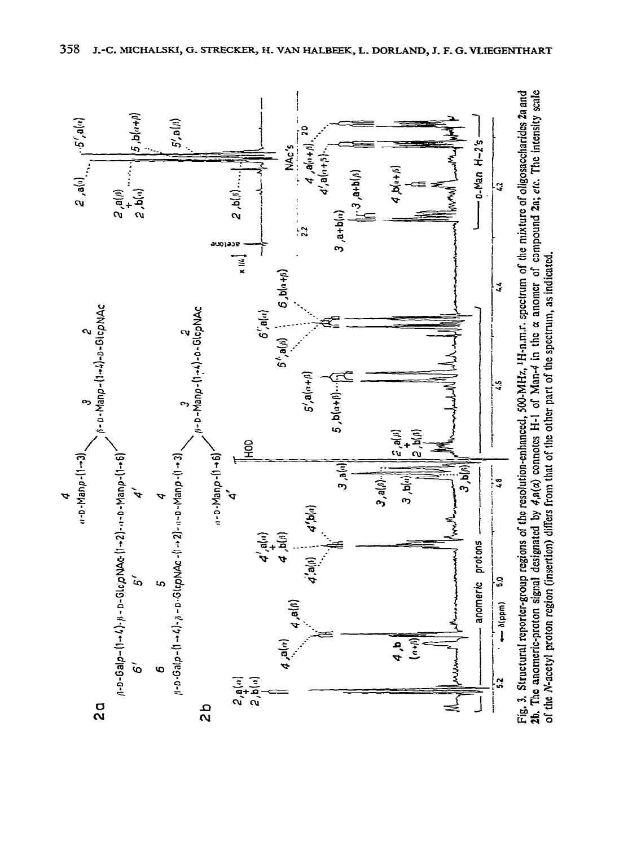

Fig. 3. Structural reporter-group regions of the resolution-enhanced, 500-MHz, <sup>1</sup>H-n.m.r. spectrum of the mixture of oligosaccharides 2a and 2h. The anomeric-proton signal designated by  $4n(\alpha)$  connotes H-1 of Man-4 in t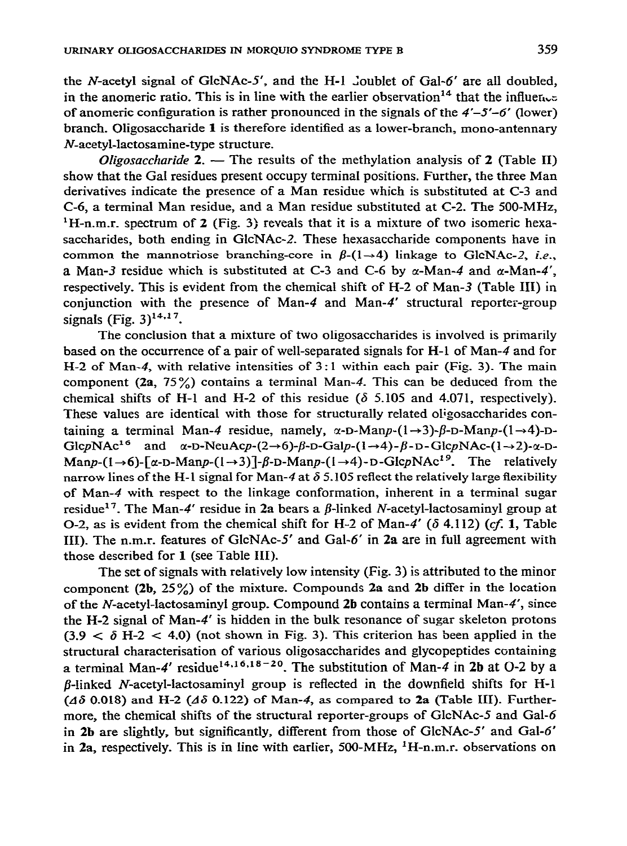the N-acetyl signal of GlcNAc-5', and the H-1 Joublet of Gal- $6'$  are all doubled, in the anomeric ratio. This is in line with the earlier observation<sup>14</sup> that the influen<sub>ce</sub> of anomeric configuration is rather pronounced in the signals of the  $4'-5'-6'$  (lower) branch. Oligosaccharide **1 is** therefore identified as a lower-branch, mono-antennary ALacetyl-lactosamine-type structure.

*Oligosaccharide* 2. — The results of the methylation analysis of 2 (Table II) show that the Gal residues present occupy terminal positions. Further, the three Man derivatives indicate the presence of a Man residue which is substituted at C-3 and C-6, a terminal Man residue, and a Man residue substituted at C-2. The 500-MHz,  ${}^{1}H$ -n.m.r. spectrum of 2 (Fig. 3) reveals that it is a mixture of two isomeric hexasaccharides, both ending in GlcNAc-2. These hexasaccharide components have in common the mannotriose branching-core in  $\beta$ -(1- $\rightarrow$ 4) linkage to GlcNAc-2, *i.e.*, a Man-3 residue which is substituted at C-3 and C-6 by  $\alpha$ -Man-4 and  $\alpha$ -Man-4', respectively. This is evident from the chemical shift of H-2 of Man-3 (Table III) in conjunction with the presence of Man-4 and Man-4' structural reporter-group signals (Fig.  $3)^{14,17}$ .

The conclusion that a mixture of two oligosaccharides is involved is primarily based on the occurrence of a pair of well-separated signals for H-l of Man-4 and for H-2 of Man-4, with relative intensities of 3 : 1 within each pair (Fig. 3). The main component (2a, *75%)* contains a terminal Man-4. This can be deduced from the chemical shifts of H-1 and H-2 of this residue ( $\delta$  5.105 and 4.071, respectively). These values are identical with those for structurally related oligosaccharides containing a terminal Man-4 residue, namely,  $\alpha$ -D-Manp- $(1\rightarrow 3)$ - $\beta$ -D-Manp- $(1\rightarrow 4)$ -D-GlcpNAc<sup>16</sup> and  $\alpha$ -D-NeuAcp-(2->6)- $\beta$ -D-Galp-(l->4)- $\beta$ -D-GlcpNAc-(l->2)- $\alpha$ -D- $\text{Map-}(1\rightarrow 6)$ - $\lceil \alpha$ -D-Manp- $(1\rightarrow 3)$ ]- $\beta$ -D-Manp- $(1\rightarrow 4)$ -D-GlcpNAc<sup>19</sup>. The relatively narrow lines of the H-1 signal for Man-4 at  $\delta$  5.105 reflect the relatively large flexibility of Man-4 with respect to the linkage conformation, inherent in a terminal sugar residue<sup>17</sup>. The Man-4' residue in 2a bears a  $\beta$ -linked N-acetyl-lactosaminyl group at O-2, as is evident from the chemical shift for H-2 of Man-4' ( $\delta$  4.112) (cf. 1, Table III). The n.m.r. features of GlcNAc-5' and Gal-6' in 2a are in full agreement with those described for 1 (see Table III).

The set of signals with relatively low intensity (Fig. 3) is attributed to the minor component (2b, *25%)* of the mixture. Compounds 2a and 2b differ in the location of the iV-acetyl-lactosaminyl group. Compound 2b contains a terminal Man-4', since the H-2 signal of Man-4' is hidden in the bulk resonance of sugar skeleton protons  $(3.9 < \delta$  H-2  $<$  4.0) (not shown in Fig. 3). This criterion has been applied in the structural characterisation of various oligosaccharides and glycopeptides containing a terminal Man-4' residue<sup>14,16,18-20</sup>. The substitution of Man-4 in 2b at O-2 by a  $\beta$ -linked N-acetyl-lactosaminyl group is reflected in the downfield shifts for H-1 ( $\Delta\delta$  0.018) and H-2 ( $\Delta\delta$  0.122) of Man-4, as compared to 2a (Table III). Furthermore, the chemical shifts of the structural reporter-groups of GlcNAc-5 and Gal-6 in 2b are slightly, but significantly, different from those of GlcNAc-5' and Gal-6' in 2a, respectively. This is in line with earlier,  $500-MHz$ ,  $H-n,m,r$ , observations on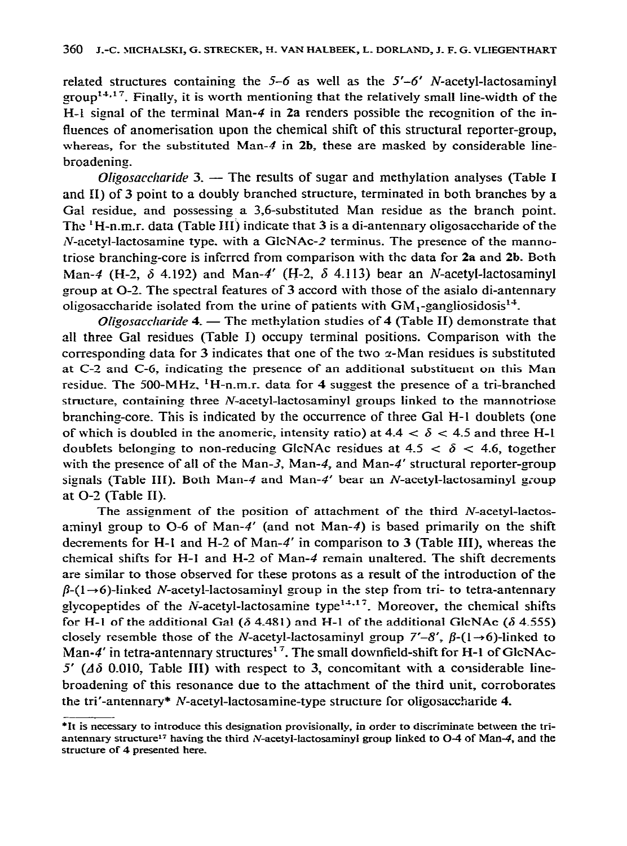related structures containing the  $5-6$  as well as the  $5'-6'$  N-acetyl-lactosaminyl group<sup>14,17</sup>. Finally, it is worth mentioning that the relatively small line-width of the H-l signal of the terminal Man-4 in **2a** renders possible the recognition of the influences of anomerisation upon the chemical shift of this structural reporter-group, whereas, for the substituted Man-4 in  $2b$ , these are masked by considerable linebroadening.

*Oligosaccharide* 3.  $-$  The results of sugar and methylation analyses (Table I and II) of 3 point to a doubly branched structure, terminated in both branches by a Gal residue, and possessing a 3,6-substituted Man residue as the branch point. The 'H-n.m.r. data (Table III) indicate that 3 is a di-antennary oligosaccharide of the  $N$ -acetyl-lactosamine type, with a GlcNAc-2 terminus. The presence of the mannotriose branching-core is inferred from comparison with the data for **2a** and 2b. Both Man-4 (H-2,  $\delta$  4.192) and Man-4' (H-2,  $\delta$  4.113) bear an *N*-acetyl-lactosaminyl group at O-2. The spectral features of 3 accord with those of the asialo di-antennary oligosaccharide isolated from the urine of patients with  $GM_1$ -gangliosidosis<sup>14</sup>.

*Oligosaccharide* 4. - The methylation studies of 4 (Table II) demonstrate that all three Gal residues (Table I) occupy terminal positions. Comparison with the corresponding data for 3 indicates that one of the two  $\alpha$ -Man residues is substituted at C-3 and C-6, indicating the presence of an additional substituent on this Man residue. The 500-MHz,  ${}^{1}$ H-n.m.r. data for 4 suggest the presence of a tri-branched structure, containing three  $N$ -acetyl-lactosaminyl groups linked to the mannotriose branching-core\_ This is indicated by the occurrence of three Gal H-l doublets (one of which is doubled in the anomeric, intensity ratio) at  $4.4 < \delta < 4.5$  and three H-l doublets belonging to non-reducing GlcNAc residues at  $4.5 < \delta < 4.6$ , together with the presence of all of the Man-3, Man-4, and Man-4' structural reporter-group signals (Table III). Both Man-4 and Man-4' bear an N-acetyl-lactosaminyl group at O-2. (Table II).

The assignment of the position of attachment of the third  $N$ -acetyl-lactosaminyl group to  $O<sub>-6</sub>$  of Man-4' (and not Man-4) is based primarily on the shift decrements for H-l and H-2 of Man-4' in comparison to 3 (Table III), whereas the chemical shifts for H-1 and H-2 of Man-4 remain unaltered. The shift decrements are similar to those observed for these protons as a result of the introduction of the  $\beta$ -(1 $\rightarrow$ 6)-linked *N*-acetyl-lactosaminyl group in the step from tri- to tetra-antennary glycopeptides of the N-acetyl-lactosamine type<sup> $14,17$ </sup>. Moreover, the chemical shifts for H-1 of the additional Gal ( $\delta$  4.481) and H-1 of the additional GlcNAc ( $\delta$  4.555) closely resemble those of the N-acetyl-lactosaminyl group  $7'-8'$ ,  $\beta$ - $(1 \rightarrow 6)$ -linked to Man-4' in tetra-antennary structures<sup>17</sup>. The small downfield-shift for H-1 of GlcNAc- $5'$  ( $\Delta\delta$  0.010, Table III) with respect to 3, concomitant with a considerable linebroadening of this resonance due to the attachment of the third unit, corroborates the tri'-antennary\* N-acetyl-lactosamine-type structure for oligosaccharide 4.

<sup>\*</sup>It **is n ecessary to** introduce **this designation provisionally, in order to discriminate between the triantennary structure17 having the third IV-acetyl-factosaminyl group linked to O-4 of** Man-4, **and the structure of 4 presented here.**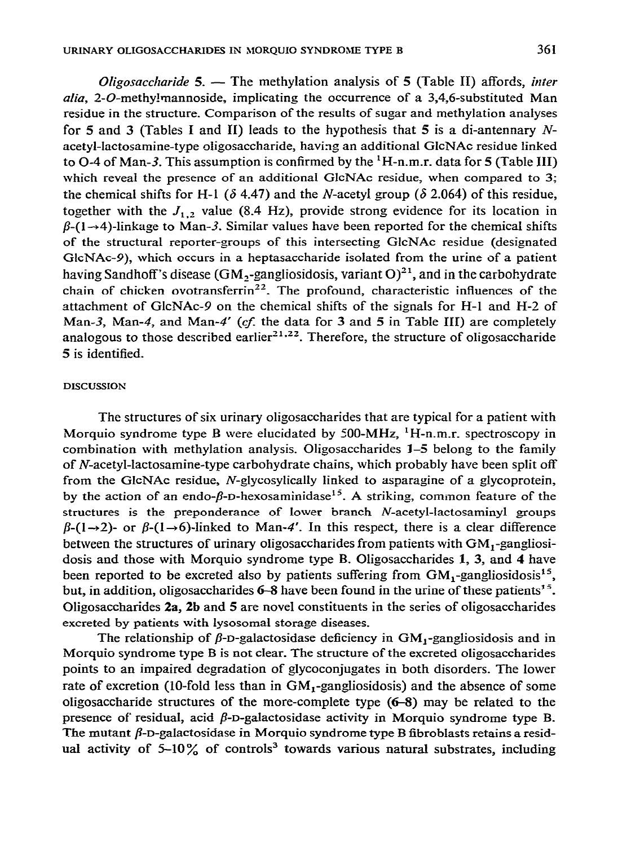*Oligosaccharide 5. -* The methylation analysis of 5 (Table II) affords, *inter alia*, 2-O-methy!mannoside, implicating the occurrence of a 3,4,6-substituted Man residue in the structure. Comparison of the results of sugar and methylation analyses for 5 and 3 (Tables I and II) leads to the hypothesis that 5 is a di-antennary  $N$ acetyl-lactosamine-type oligosaccharide, having an additional GlcNAc residue linked to O-4 of Man-3. This assumption is confirmed by the  $^1$ H-n.m.r. data for 5 (Table III) which reveal the presence of an additional GlcNAc residue, when compared to 3; the chemical shifts for H-1 ( $\delta$  4.47) and the *N*-acetyl group ( $\delta$  2.064) of this residue, together with the  $J_{1,2}$  value (8.4 Hz), provide strong evidence for its location in  $\beta$ -(1- $\rightarrow$ 4)-linkage to Man-3. Similar values have been reported for the chemical shifts of the structural reporter-groups of this intersecting GlcNAc residue (designated GlcNAc-9), which occurs in a heptasaccharide isolated from the urine of a patient having Sandhoff's disease (GM<sub>2</sub>-gangliosidosis, variant O)<sup>21</sup>, and in the carbohydrate chain of chicken ovotransferrin<sup>22</sup>. The profound, characteristic influences of the attachment of GlcNAc-9 on the chemical shifts of the signals for H-l and H-2 of Man-3, Man-4, and Man-4' (cf. the data for 3 and 5 in Table III) are completely analogous to those described earlier<sup>21,22</sup>. Therefore, the structure of oligosaccharide 5 is identified.

#### **DISCUSSION**

The structures of six urinary oligosaccharides that are typical for a patient with Morquio syndrome type B were elucidated by 500-MHz, 'H-n.m.r. spectroscopy in combination with methylation analysis. Oligosaccharides 1-5 belong to the family of N-acetyl-lactosamine-type carbohydrate chains, which probably have been split off from the GlcNAc residue, N-glycosylically linked to asparagine of a glycoprotein, by the action of an endo- $\beta$ -D-hexosaminidase<sup>15</sup>. A striking, common feature of the structures is the preponderance of lower branch N-acetyl-lactosaminyl groups  $\beta$ -(1 $\rightarrow$ 2)- or  $\beta$ -(1 $\rightarrow$ 6)-linked to Man-4'. In this respect, there is a clear difference between the structures of urinary oligosaccharides from patients with  $GM_1$ -gangliosidosis and those with Morquio syndrome type B. Oligosaccharides **1,** 3, and 4 have been reported to be excreted also by patients suffering from  $GM_1$ -gangliosidosis<sup>15</sup>, but, in addition, oligosaccharides  $6-8$  have been found in the urine of these patients<sup>15</sup>. Oligosaccharides **2a, 2b** and 5 are novel constituents in the series of oligosaccharides excreted by patients with lysosomal storage diseases.

The relationship of  $\beta$ -D-galactosidase deficiency in GM<sub>1</sub>-gangliosidosis and in Morquio syndrome type B is not clear. The structure of the excreted oligosaccharides points to an impaired degradation of glycoconjugates in both disorders\_ The lower rate of excretion (10-fold less than in  $GM_1$ -gangliosidosis) and the absence of some oligosaccharide structures of the more-complete type (6-S) may be related to the presence of residual, acid  $\beta$ -D-galactosidase activity in Morquio syndrome type B. The mutant  $\beta$ -D-galactosidase in Morquio syndrome type B fibroblasts retains a residual activity of  $5-10\%$  of controls<sup>3</sup> towards various natural substrates, including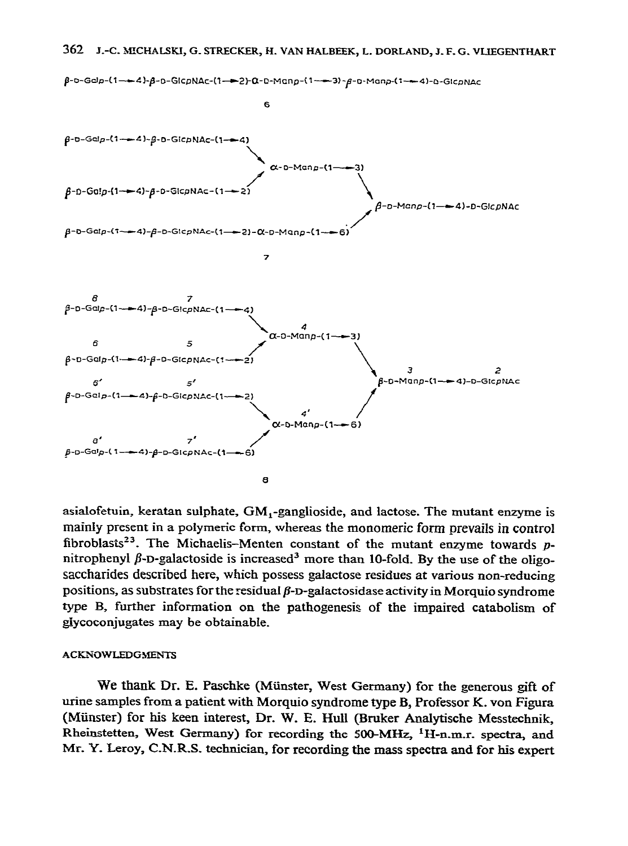

asialofetuin, keratan sulphate, GM ,-ganglioside, and lactose. The mutant enzyme is mainly present in a polymeric form, whereas the monomeric form prevails in control fibroblasts<sup>23</sup>. The Michaelis-Menten constant of the mutant enzyme towards  $p$ nitrophenyl  $\beta$ -D-galactoside is increased<sup>3</sup> more than 10-fold. By the use of the oligosaccharides described here, which possess galactose residues at various non-reducing positions, as substrates for the residual  $\beta$ -D-galactosidase activity in Morquio syndrome type B, further information on the pathogenesis of the impaired catabolism of glycoconjugates may be obtainable.

#### **ACKNOWLEDGMENTS**

We thank Dr. E. Paschke (Münster, West Germany) for the generous gift of urine samples from a patient with Morquio syndrome type B, Professor K. von Figura (Miinsrer) for his keen interest, Dr. W. E. Hull (Bruker Analytische Messtechnik, Rheinstetten, West Germany) for recording the 500-MHz,  ${}^{1}H$ -n.m.r. spectra, and Mr. Y. Leroy, C.N.R.S. technician, for recording the mass spectra and for his expert